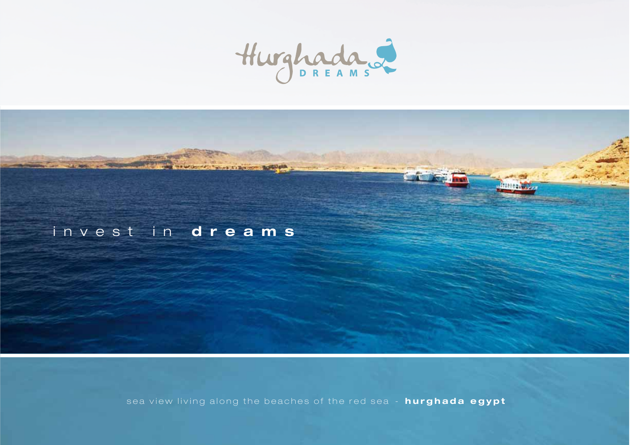

# invest in **dreams**

sea view living along the beaches of the red sea - **hurghada egypt**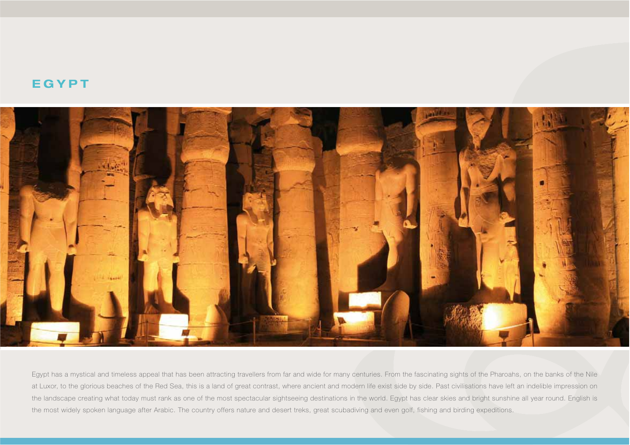## **EGYPT**



Egypt has a mystical and timeless appeal that has been attracting travellers from far and wide for many centuries. From the fascinating sights of the Pharoahs, on the banks of the Nile at Luxor, to the glorious beaches of the Red Sea, this is a land of great contrast, where ancient and modern life exist side by side. Past civilisations have left an indelible impression on the landscape creating what today must rank as one of the most spectacular sightseeing destinations in the world. Egypt has clear skies and bright sunshine all year round. English is the most widely spoken language after Arabic. The country offers nature and desert treks, great scubadiving and even golf, fishing and birding expeditions.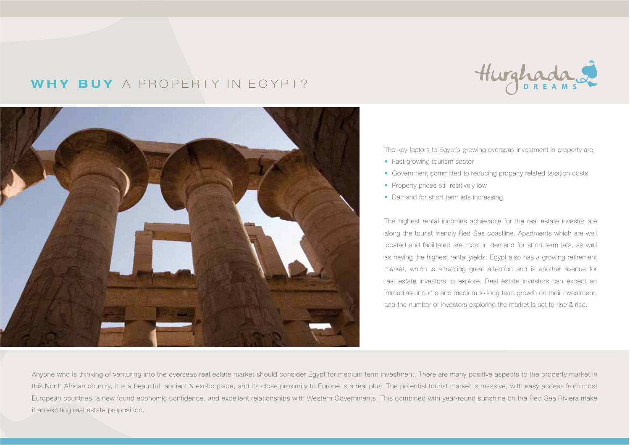# **WHY BUY** A PROPERTY IN EGYPT?





The key factors to Egypt's growing overseas investment in property are:

- Fast growing tourism sector
- Government committed to reducing property related taxation costs
- Property prices still relatively low
- Demand for short term lets increasing

The highest rental incomes achievable for the real estate investor are along the tourist friendly Red Sea coastline. Apartments which are well located and facilitated are most in demand for short term lets, as well as having the highest rental yields. Egypt also has a growing retirement market, which is attracting great attention and is another avenue for real estate investors to explore. Real estate investors can expect an immediate income and medium to long term growth on their investment, and the number of investors exploring the market is set to rise & rise.

Anyone who is thinking of venturing into the overseas real estate market should consider Egypt for medium term investment. There are many positive aspects to the property market in this North African country, it is a beautiful, ancient & exotic place, and its close proximity to Europe is a real plus. The potential tourist market is massive, with easy access from most European countries, a new found economic confidence, and excellent relationships with Western Governments. This combined with year-round sunshine on the Red Sea Riviera make it an exciting real estate proposition.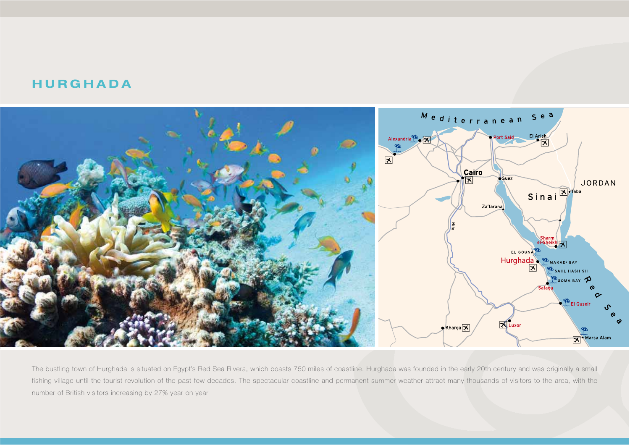## **HURGHADA**



The bustling town of Hurghada is situated on Egypt's Red Sea Rivera, which boasts 750 miles of coastline. Hurghada was founded in the early 20th century and was originally a small fishing village until the tourist revolution of the past few decades. The spectacular coastline and permanent summer weather attract many thousands of visitors to the area, with the number of British visitors increasing by 27% year on year.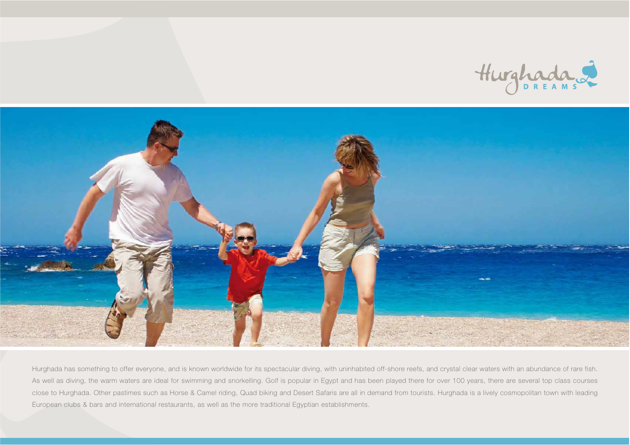



Hurghada has something to offer everyone, and is known worldwide for its spectacular diving, with uninhabited off-shore reefs, and crystal clear waters with an abundance of rare fish. As well as diving, the warm waters are ideal for swimming and snorkelling. Golf is popular in Egypt and has been played there for over 100 years, there are several top class courses close to Hurghada. Other pastimes such as Horse & Camel riding, Quad biking and Desert Safaris are all in demand from tourists. Hurghada is a lively cosmopolitan town with leading European clubs & bars and international restaurants, as well as the more traditional Egyptian establishments.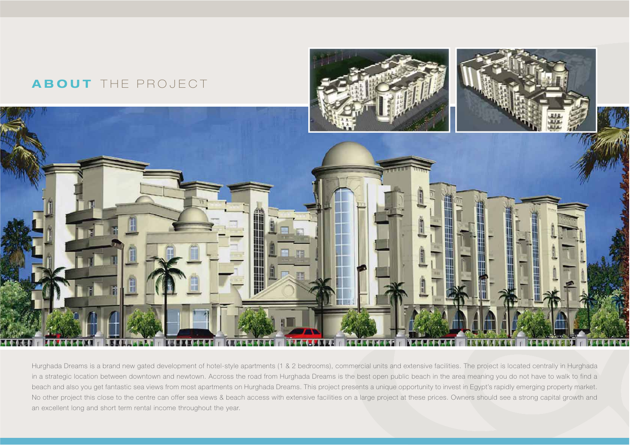

Hurghada Dreams is a brand new gated development of hotel-style apartments (1 & 2 bedrooms), commercial units and extensive facilities. The project is located centrally in Hurghada in a strategic location between downtown and newtown. Accross the road from Hurghada Dreams is the best open public beach in the area meaning you do not have to walk to find a beach and also you get fantastic sea views from most apartments on Hurghada Dreams. This project presents a unique opportunity to invest in Egypt's rapidly emerging property market. No other project this close to the centre can offer sea views & beach access with extensive facilities on a large project at these prices. Owners should see a strong capital growth and an excellent long and short term rental income throughout the year.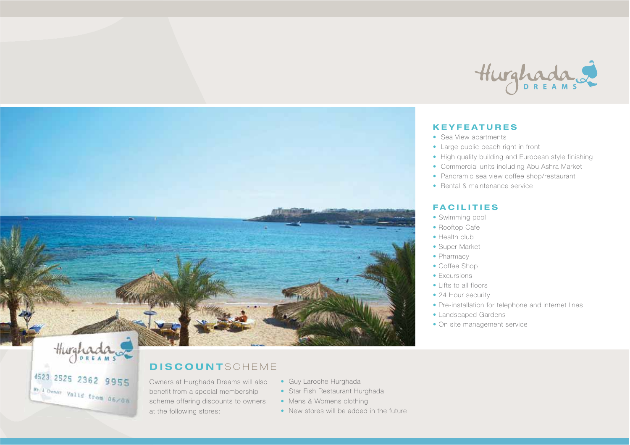

### **KEYFEATURES**

- Sea View apartments
- Large public beach right in front
- High quality building and European style finishing
- Commercial units including Abu Ashra Market
- Panoramic sea view coffee shop/restaurant
- Rental & maintenance service

### **FACILITIES**

- Swimming pool
- Rooftop Cafe
- Health club
- Super Market
- Pharmacy
- Coffee Shop
- Excursions
- Lifts to all floors
- 24 Hour security
- Pre-installation for telephone and internet lines
- Landscaped Gardens
- On site management service



### **DISCOUNT** SCHEME

Owners at Hurghada Dreams will also benefit from a special membership scheme offering discounts to owners at the following stores:

4523 2525 2362 9955

Mr. A Ovner Valid from 06/08

- Guy Laroche Hurghada
- Star Fish Restaurant Hurghada
- Mens & Womens clothing
- New stores will be added in the future.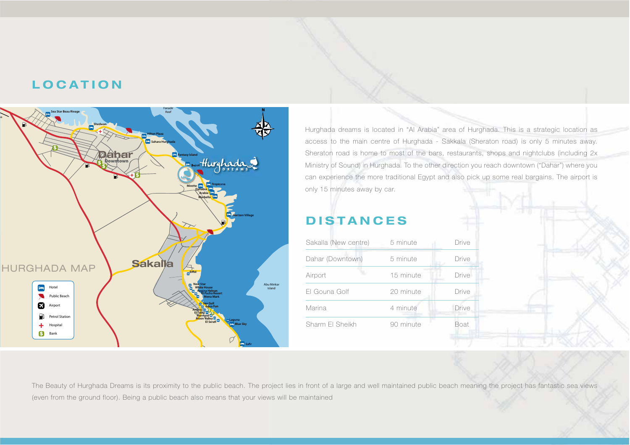# **LOCATION**



Hurghada dreams is located in "Al Arabia" area of Hurghada. This is a strategic location as access to the main centre of Hurghada - Sakkala (Sheraton road) is only 5 minutes away. Sheraton road is home to most of the bars, restaurants, shops and nightclubs (including 2x Ministry of Sound) in Hurghada. To the other direction you reach downtown ("Dahar") where you can experience the more traditional Egypt and also pick up some real bargains. The airport is only 15 minutes away by car.

# **DISTANCES**

| Sakalla (New centre) | 5 minute  | Drive |
|----------------------|-----------|-------|
| Dahar (Downtown)     | 5 minute  | Drive |
| Airport              | 15 minute | Drive |
| El Gouna Golf        | 20 minute | Drive |
| Marina               | 4 minute  | Drive |
| Sharm FI Sheikh      | 90 minute | Boat  |
|                      |           |       |

The Beauty of Hurghada Dreams is its proximity to the public beach. The project lies in front of a large and well maintained public beach meaning the project has fantastic sea views (even from the ground floor). Being a public beach also means that your views will be maintained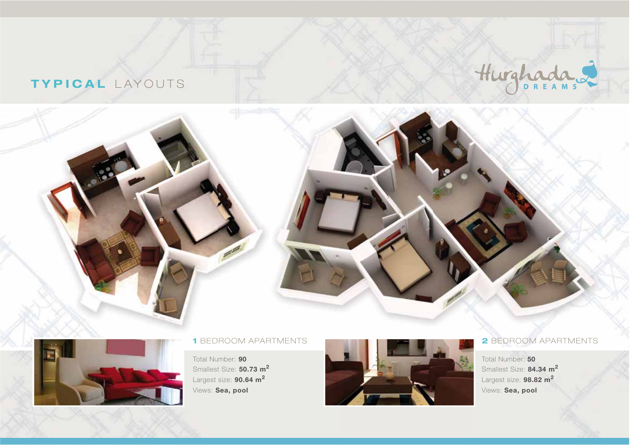# **TYPICAL** LAYOUTS





### **1** BEDROOM APARTMENTS

Total Number: **90** Smallest Size: **50.73 m<sup>2</sup>** Largest size: **90.64 m<sup>2</sup>** Views: **Sea, pool**



### **2** BEDROOM APARTMENTS

Total Number: **50** Smallest Size: **84.34 m<sup>2</sup>** Largest size: **98.82 m<sup>2</sup>** Views: **Sea, pool**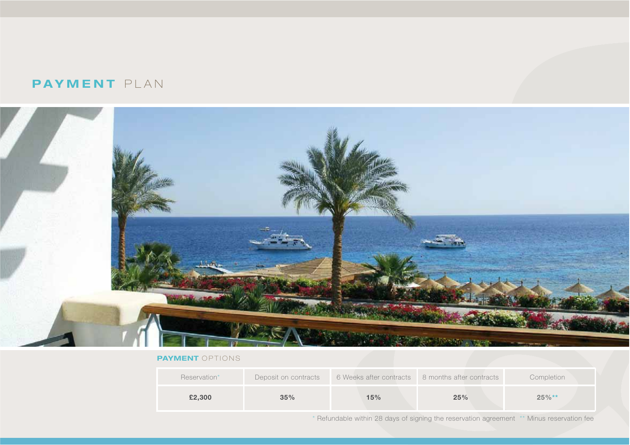### **PAYMENT** PLAN



#### **PAYMENT** OPTIONS

| Reservation* | Deposit on contracts | 6 Weeks after contracts | 8 months after contracts | Completion |
|--------------|----------------------|-------------------------|--------------------------|------------|
| £2,300       | 35%                  | $15\%$                  | 25%                      | $25\%**$   |

\* Refundable within 28 days of signing the reservation agreement \*\* Minus reservation fee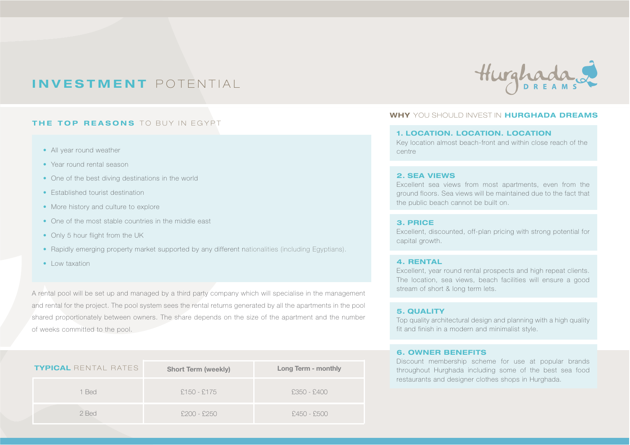# **INVESTMENT** POTENTIAL

### **THE TOP REASONS** TO BUY IN EGYPT

- All year round weather
- Year round rental season
- One of the best diving destinations in the world
- Established tourist destination
- More history and culture to explore
- One of the most stable countries in the middle east
- Only 5 hour flight from the UK
- Rapidly emerging property market supported by any different nationalities (including Egyptians).
- Low taxation

A rental pool will be set up and managed by a third party company which will specialise in the management and rental for the project. The pool system sees the rental returns generated by all the apartments in the pool shared proportionately between owners. The share depends on the size of the apartment and the number of weeks committed to the pool.

| <b>TYPICAL</b> rental rates | <b>Short Term (weekly)</b> | Long Term - monthly |
|-----------------------------|----------------------------|---------------------|
| 1 Bed                       | £150 - £175                | £350 - £400         |
| 2 Bed                       | $£200 - £250$              | £450 - £500         |



#### **WHY** YOU SHOULD INVEST IN **HURGHADA DREAMS**

#### **1. LOCATION. LOCATION. LOCATION**

Key location almost beach-front and within close reach of the centre

#### **2. SEA VIEWS**

Excellent sea views from most apartments, even from the ground floors. Sea views will be maintained due to the fact that the public beach cannot be built on.

#### **3. PRICE**

Excellent, discounted, off-plan pricing with strong potential for capital growth.

#### **4. RENTAL**

Excellent, year round rental prospects and high repeat clients. The location, sea views, beach facilities will ensure a good stream of short & long term lets.

#### **5. QUALITY**

Top quality architectural design and planning with a high quality fit and finish in a modern and minimalist style.

#### **6. OWNER BENEFITS**

Discount membership scheme for use at popular brands throughout Hurghada including some of the best sea food restaurants and designer clothes shops in Hurghada.